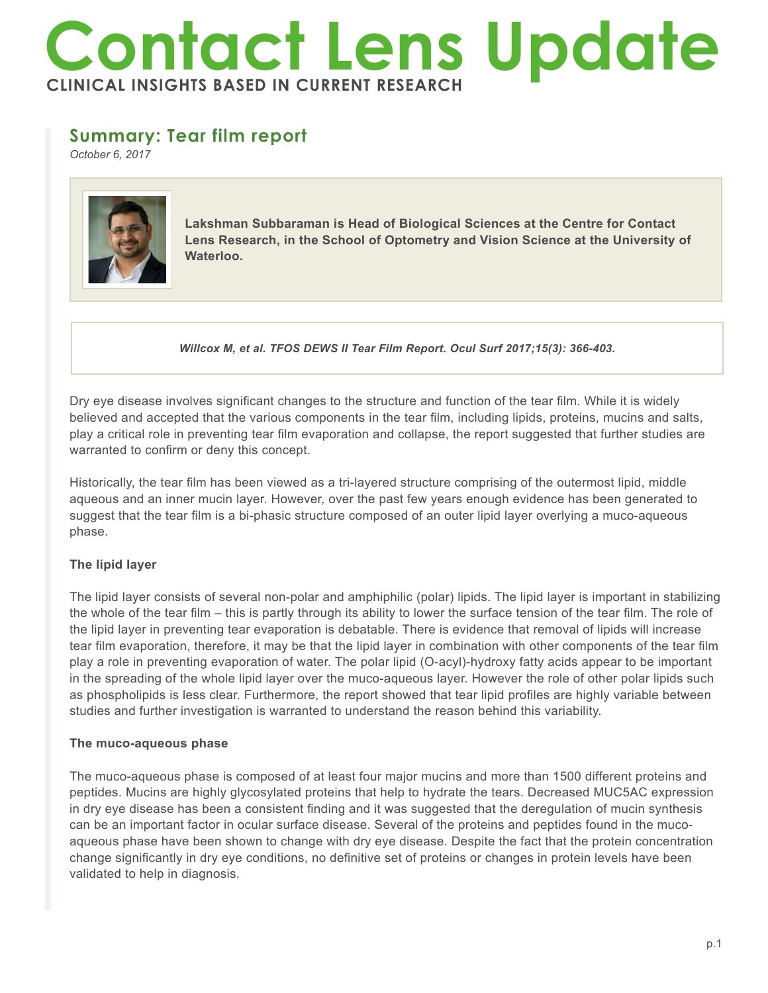# **Contact Lens Update CLINICAL INSIGHTS BASED IN CURRENT RESEARCH**

# **Summary: Tear film report**

*October 6, 2017*



**Lakshman Subbaraman is Head of Biological Sciences at the Centre for Contact Lens Research, in the School of Optometry and Vision Science at the University of Waterloo.**

*Willcox M, et al. TFOS DEWS II Tear Film Report. Ocul Surf 2017;15(3): 366-403.*

Dry eye disease involves significant changes to the structure and function of the tear film. While it is widely believed and accepted that the various components in the tear film, including lipids, proteins, mucins and salts, play a critical role in preventing tear film evaporation and collapse, the report suggested that further studies are warranted to confirm or deny this concept.

Historically, the tear film has been viewed as a tri-layered structure comprising of the outermost lipid, middle aqueous and an inner mucin layer. However, over the past few years enough evidence has been generated to suggest that the tear film is a bi-phasic structure composed of an outer lipid layer overlying a muco-aqueous phase.

## **The lipid layer**

The lipid layer consists of several non-polar and amphiphilic (polar) lipids. The lipid layer is important in stabilizing the whole of the tear film – this is partly through its ability to lower the surface tension of the tear film. The role of the lipid layer in preventing tear evaporation is debatable. There is evidence that removal of lipids will increase tear film evaporation, therefore, it may be that the lipid layer in combination with other components of the tear film play a role in preventing evaporation of water. The polar lipid (O-acyl)-hydroxy fatty acids appear to be important in the spreading of the whole lipid layer over the muco-aqueous layer. However the role of other polar lipids such as phospholipids is less clear. Furthermore, the report showed that tear lipid profiles are highly variable between studies and further investigation is warranted to understand the reason behind this variability.

## **The muco-aqueous phase**

The muco-aqueous phase is composed of at least four major mucins and more than 1500 different proteins and peptides. Mucins are highly glycosylated proteins that help to hydrate the tears. Decreased MUC5AC expression in dry eye disease has been a consistent finding and it was suggested that the deregulation of mucin synthesis can be an important factor in ocular surface disease. Several of the proteins and peptides found in the mucoaqueous phase have been shown to change with dry eye disease. Despite the fact that the protein concentration change significantly in dry eye conditions, no definitive set of proteins or changes in protein levels have been validated to help in diagnosis.